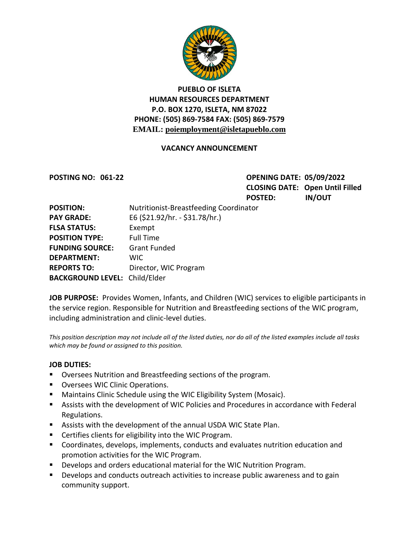

### **PUEBLO OF ISLETA HUMAN RESOURCES DEPARTMENT P.O. BOX 1270, ISLETA, NM 87022 PHONE: (505) 869-7584 FAX: (505) 869-7579 EMAIL: poiemployment@isletapueblo.com**

#### **VACANCY ANNOUNCEMENT**

**POSTING NO: 061-22 OPENING DATE: 05/09/2022 CLOSING DATE: Open Until Filled POSTED: IN/OUT**

| <b>POSITION:</b>                     | Nutritionist-Breastfeeding Coordinator |
|--------------------------------------|----------------------------------------|
| <b>PAY GRADE:</b>                    | E6 (\$21.92/hr. - \$31.78/hr.)         |
| <b>FLSA STATUS:</b>                  | Exempt                                 |
| <b>POSITION TYPE:</b>                | <b>Full Time</b>                       |
| <b>FUNDING SOURCE:</b>               | <b>Grant Funded</b>                    |
| <b>DEPARTMENT:</b>                   | WIC.                                   |
| <b>REPORTS TO:</b>                   | Director, WIC Program                  |
| <b>BACKGROUND LEVEL: Child/Elder</b> |                                        |

**JOB PURPOSE:** Provides Women, Infants, and Children (WIC) services to eligible participants in the service region. Responsible for Nutrition and Breastfeeding sections of the WIC program, including administration and clinic-level duties.

*This position description may not include all of the listed duties, nor do all of the listed examples include all tasks which may be found or assigned to this position.*

#### **JOB DUTIES:**

- Oversees Nutrition and Breastfeeding sections of the program.
- **Oversees WIC Clinic Operations.**
- **Maintains Clinic Schedule using the WIC Eligibility System (Mosaic).**
- Assists with the development of WIC Policies and Procedures in accordance with Federal Regulations.
- Assists with the development of the annual USDA WIC State Plan.
- Certifies clients for eligibility into the WIC Program.
- Coordinates, develops, implements, conducts and evaluates nutrition education and promotion activities for the WIC Program.
- Develops and orders educational material for the WIC Nutrition Program.
- **Develops and conducts outreach activities to increase public awareness and to gain** community support.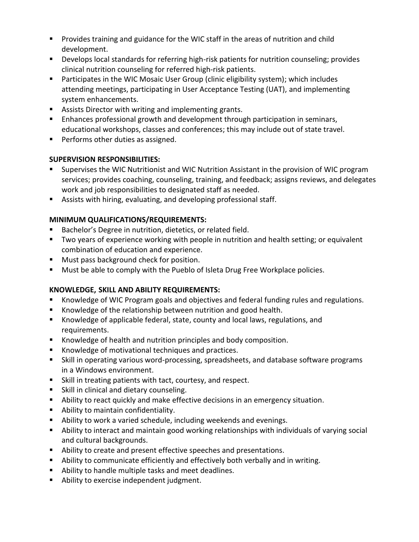- **Provides training and guidance for the WIC staff in the areas of nutrition and child** development.
- Develops local standards for referring high-risk patients for nutrition counseling; provides clinical nutrition counseling for referred high-risk patients.
- Participates in the WIC Mosaic User Group (clinic eligibility system); which includes attending meetings, participating in User Acceptance Testing (UAT), and implementing system enhancements.
- **Assists Director with writing and implementing grants.**
- Enhances professional growth and development through participation in seminars, educational workshops, classes and conferences; this may include out of state travel.
- **Performs other duties as assigned.**

## **SUPERVISION RESPONSIBILITIES:**

- Supervises the WIC Nutritionist and WIC Nutrition Assistant in the provision of WIC program services; provides coaching, counseling, training, and feedback; assigns reviews, and delegates work and job responsibilities to designated staff as needed.
- Assists with hiring, evaluating, and developing professional staff.

## **MINIMUM QUALIFICATIONS/REQUIREMENTS:**

- Bachelor's Degree in nutrition, dietetics, or related field.
- **TWO years of experience working with people in nutrition and health setting; or equivalent** combination of education and experience.
- **Must pass background check for position.**
- **Must be able to comply with the Pueblo of Isleta Drug Free Workplace policies.**

# **KNOWLEDGE, SKILL AND ABILITY REQUIREMENTS:**

- Knowledge of WIC Program goals and objectives and federal funding rules and regulations.
- Knowledge of the relationship between nutrition and good health.
- Knowledge of applicable federal, state, county and local laws, regulations, and requirements.
- Knowledge of health and nutrition principles and body composition.
- Knowledge of motivational techniques and practices.
- Skill in operating various word-processing, spreadsheets, and database software programs in a Windows environment.
- Skill in treating patients with tact, courtesy, and respect.
- **Skill in clinical and dietary counseling.**
- Ability to react quickly and make effective decisions in an emergency situation.
- **Ability to maintain confidentiality.**
- Ability to work a varied schedule, including weekends and evenings.
- Ability to interact and maintain good working relationships with individuals of varying social and cultural backgrounds.
- Ability to create and present effective speeches and presentations.
- Ability to communicate efficiently and effectively both verbally and in writing.
- Ability to handle multiple tasks and meet deadlines.
- **Ability to exercise independent judgment.**